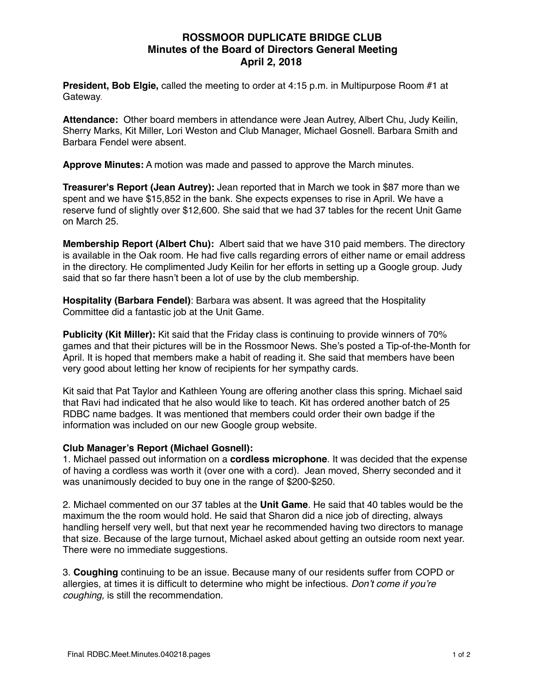# **ROSSMOOR DUPLICATE BRIDGE CLUB Minutes of the Board of Directors General Meeting April 2, 2018**

**President, Bob Elgie,** called the meeting to order at 4:15 p.m. in Multipurpose Room #1 at Gateway.

**Attendance:** Other board members in attendance were Jean Autrey, Albert Chu, Judy Keilin, Sherry Marks, Kit Miller, Lori Weston and Club Manager, Michael Gosnell. Barbara Smith and Barbara Fendel were absent.

**Approve Minutes:** A motion was made and passed to approve the March minutes.

**Treasurer's Report (Jean Autrey):** Jean reported that in March we took in \$87 more than we spent and we have \$15,852 in the bank. She expects expenses to rise in April. We have a reserve fund of slightly over \$12,600. She said that we had 37 tables for the recent Unit Game on March 25.

**Membership Report (Albert Chu):** Albert said that we have 310 paid members. The directory is available in the Oak room. He had five calls regarding errors of either name or email address in the directory. He complimented Judy Keilin for her efforts in setting up a Google group. Judy said that so far there hasn't been a lot of use by the club membership.

**Hospitality (Barbara Fendel)**: Barbara was absent. It was agreed that the Hospitality Committee did a fantastic job at the Unit Game.

**Publicity (Kit Miller):** Kit said that the Friday class is continuing to provide winners of 70% games and that their pictures will be in the Rossmoor News. She's posted a Tip-of-the-Month for April. It is hoped that members make a habit of reading it. She said that members have been very good about letting her know of recipients for her sympathy cards.

Kit said that Pat Taylor and Kathleen Young are offering another class this spring. Michael said that Ravi had indicated that he also would like to teach. Kit has ordered another batch of 25 RDBC name badges. It was mentioned that members could order their own badge if the information was included on our new Google group website.

### **Club Manager's Report (Michael Gosnell):**

1. Michael passed out information on a **cordless microphone**. It was decided that the expense of having a cordless was worth it (over one with a cord). Jean moved, Sherry seconded and it was unanimously decided to buy one in the range of \$200-\$250.

2. Michael commented on our 37 tables at the **Unit Game**. He said that 40 tables would be the maximum the the room would hold. He said that Sharon did a nice job of directing, always handling herself very well, but that next year he recommended having two directors to manage that size. Because of the large turnout, Michael asked about getting an outside room next year. There were no immediate suggestions.

3. **Coughing** continuing to be an issue. Because many of our residents suffer from COPD or allergies, at times it is difficult to determine who might be infectious. *Don't come if you're coughing,* is still the recommendation.